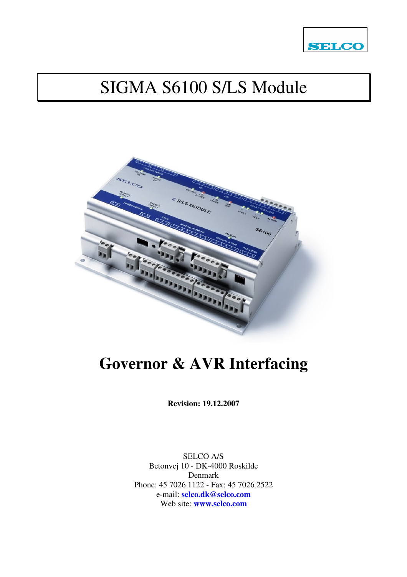

# SIGMA S6100 S/LS Module



# **Governor & AVR Interfacing**

**Revision: 19.12.2007** 

SELCO A/S Betonvej 10 - DK-4000 Roskilde Denmark Phone: 45 7026 1122 - Fax: 45 7026 2522 e-mail: **selco.dk@selco.com** Web site: **www.selco.com**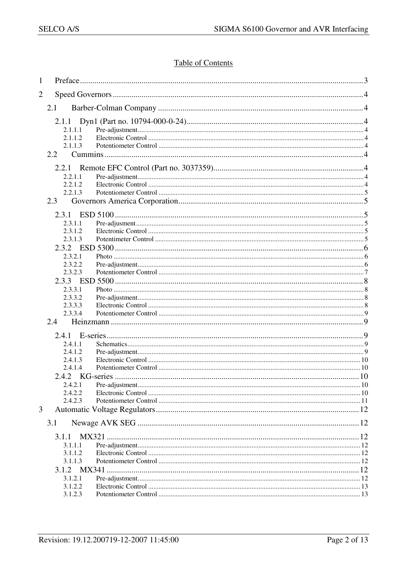## **Table of Contents**

| 1              |                    |  |  |
|----------------|--------------------|--|--|
| $\overline{2}$ |                    |  |  |
|                | 2.1                |  |  |
|                | 2.1.1              |  |  |
|                | 2.1.1.1            |  |  |
|                | 2.1.1.2            |  |  |
|                | 2.1.1.3            |  |  |
|                | 2.2                |  |  |
|                |                    |  |  |
|                | 2.2.1.1            |  |  |
|                | 2.2.1.2            |  |  |
|                | 2.2.1.3            |  |  |
|                | 2.3                |  |  |
|                | 2.3.1              |  |  |
|                | 2.3.1.1            |  |  |
|                | 2.3.1.2            |  |  |
|                | 2.3.1.3            |  |  |
|                |                    |  |  |
|                | 2.3.2.1            |  |  |
|                | 2.3.2.2            |  |  |
|                | 2.3.2.3            |  |  |
|                |                    |  |  |
|                | 2.3.3.1            |  |  |
|                | 2.3.3.2<br>2.3.3.3 |  |  |
|                | 2.3.3.4            |  |  |
|                | 2.4                |  |  |
|                |                    |  |  |
|                | 2.4.1              |  |  |
|                | 2.4.1.1            |  |  |
|                | 2.4.1.2            |  |  |
|                | 2.4.1.3<br>2.4.1.4 |  |  |
|                |                    |  |  |
|                | 2.4.2.1            |  |  |
|                | 2.4.2.2            |  |  |
|                | 2.4.2.3            |  |  |
| 3              |                    |  |  |
|                | 3.1                |  |  |
|                |                    |  |  |
|                | 3.1.1              |  |  |
|                | 3.1.1.1<br>3.1.1.2 |  |  |
|                | 3.1.1.3            |  |  |
|                | 3.1.2 MX341        |  |  |
|                | 3.1.2.1            |  |  |
|                | 3.1.2.2            |  |  |
|                | 3.1.2.3            |  |  |
|                |                    |  |  |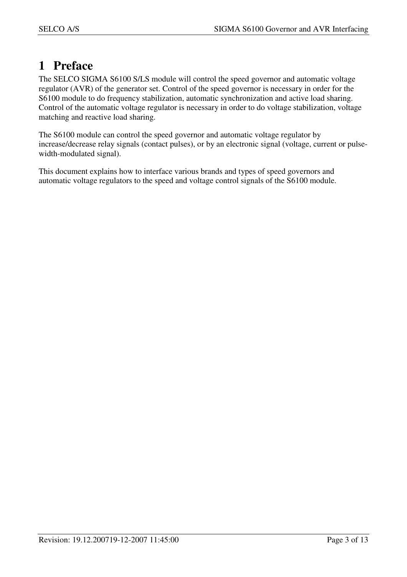# **1 Preface**

The SELCO SIGMA S6100 S/LS module will control the speed governor and automatic voltage regulator (AVR) of the generator set. Control of the speed governor is necessary in order for the S6100 module to do frequency stabilization, automatic synchronization and active load sharing. Control of the automatic voltage regulator is necessary in order to do voltage stabilization, voltage matching and reactive load sharing.

The S6100 module can control the speed governor and automatic voltage regulator by increase/decrease relay signals (contact pulses), or by an electronic signal (voltage, current or pulsewidth-modulated signal).

This document explains how to interface various brands and types of speed governors and automatic voltage regulators to the speed and voltage control signals of the S6100 module.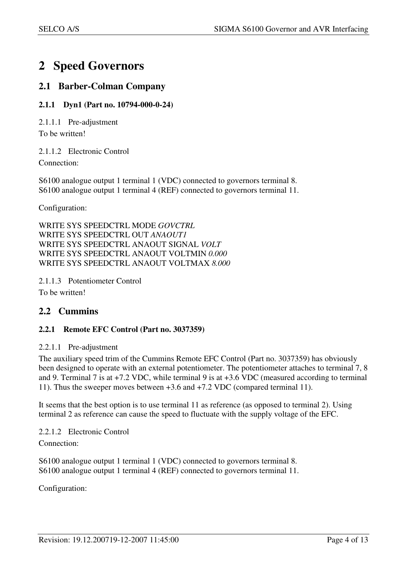# **2 Speed Governors**

## **2.1 Barber-Colman Company**

## **2.1.1 Dyn1 (Part no. 10794-000-0-24)**

2.1.1.1 Pre-adjustment

To be written!

2.1.1.2 Electronic Control

Connection:

S6100 analogue output 1 terminal 1 (VDC) connected to governors terminal 8. S6100 analogue output 1 terminal 4 (REF) connected to governors terminal 11.

Configuration:

WRITE SYS SPEEDCTRL MODE *GOVCTRL*  WRITE SYS SPEEDCTRL OUT *ANAOUT1* WRITE SYS SPEEDCTRL ANAOUT SIGNAL *VOLT*  WRITE SYS SPEEDCTRL ANAOUT VOLTMIN *0.000* WRITE SYS SPEEDCTRL ANAOUT VOLTMAX *8.000* 

2.1.1.3 Potentiometer Control To be written!

## **2.2 Cummins**

## **2.2.1 Remote EFC Control (Part no. 3037359)**

#### 2.2.1.1 Pre-adjustment

The auxiliary speed trim of the Cummins Remote EFC Control (Part no. 3037359) has obviously been designed to operate with an external potentiometer. The potentiometer attaches to terminal 7, 8 and 9. Terminal 7 is at +7.2 VDC, while terminal 9 is at +3.6 VDC (measured according to terminal 11). Thus the sweeper moves between +3.6 and +7.2 VDC (compared terminal 11).

It seems that the best option is to use terminal 11 as reference (as opposed to terminal 2). Using terminal 2 as reference can cause the speed to fluctuate with the supply voltage of the EFC.

2.2.1.2 Electronic Control Connection:

S6100 analogue output 1 terminal 1 (VDC) connected to governors terminal 8. S6100 analogue output 1 terminal 4 (REF) connected to governors terminal 11.

Configuration: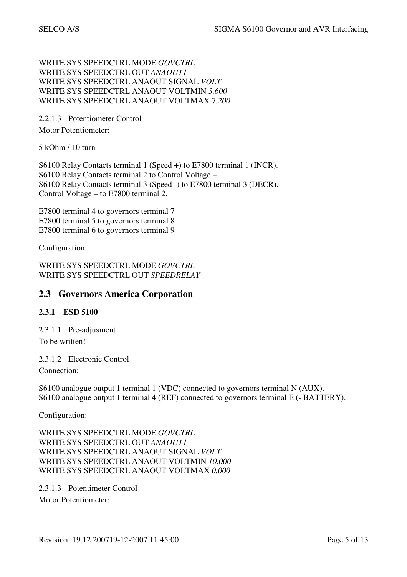WRITE SYS SPEEDCTRL MODE *GOVCTRL*  WRITE SYS SPEEDCTRL OUT *ANAOUT1* WRITE SYS SPEEDCTRL ANAOUT SIGNAL *VOLT*  WRITE SYS SPEEDCTRL ANAOUT VOLTMIN *3.600* WRITE SYS SPEEDCTRL ANAOUT VOLTMAX 7*.200* 

2.2.1.3 Potentiometer Control Motor Potentiometer:

5 kOhm / 10 turn

S6100 Relay Contacts terminal 1 (Speed +) to E7800 terminal 1 (INCR). S6100 Relay Contacts terminal 2 to Control Voltage + S6100 Relay Contacts terminal 3 (Speed -) to E7800 terminal 3 (DECR). Control Voltage – to E7800 terminal 2.

E7800 terminal 4 to governors terminal 7 E7800 terminal 5 to governors terminal 8 E7800 terminal 6 to governors terminal 9

Configuration:

WRITE SYS SPEEDCTRL MODE *GOVCTRL*  WRITE SYS SPEEDCTRL OUT *SPEEDRELAY*

## **2.3 Governors America Corporation**

## **2.3.1 ESD 5100**

2.3.1.1 Pre-adjusment To be written!

2.3.1.2 Electronic Control

Connection:

S6100 analogue output 1 terminal 1 (VDC) connected to governors terminal N (AUX). S6100 analogue output 1 terminal 4 (REF) connected to governors terminal E (- BATTERY).

Configuration:

WRITE SYS SPEEDCTRL MODE *GOVCTRL* WRITE SYS SPEEDCTRL OUT *ANAOUT1* WRITE SYS SPEEDCTRL ANAOUT SIGNAL *VOLT*  WRITE SYS SPEEDCTRL ANAOUT VOLTMIN *10.000* WRITE SYS SPEEDCTRL ANAOUT VOLTMAX *0.000* 

2.3.1.3 Potentimeter Control Motor Potentiometer: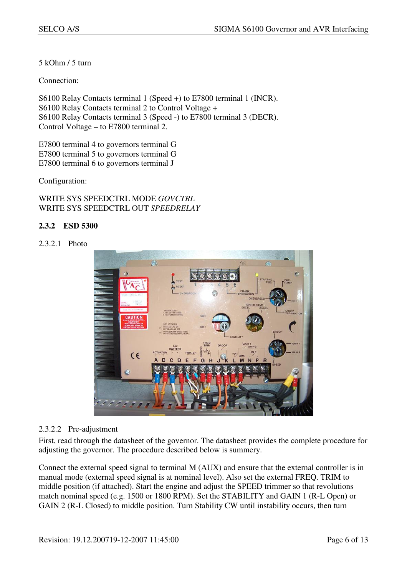5 kOhm / 5 turn

Connection:

S6100 Relay Contacts terminal 1 (Speed +) to E7800 terminal 1 (INCR). S6100 Relay Contacts terminal 2 to Control Voltage + S6100 Relay Contacts terminal 3 (Speed -) to E7800 terminal 3 (DECR). Control Voltage – to E7800 terminal 2.

E7800 terminal 4 to governors terminal G E7800 terminal 5 to governors terminal G E7800 terminal 6 to governors terminal J

Configuration:

WRITE SYS SPEEDCTRL MODE *GOVCTRL*  WRITE SYS SPEEDCTRL OUT *SPEEDRELAY*

### **2.3.2 ESD 5300**

2.3.2.1 Photo



#### 2.3.2.2 Pre-adjustment

First, read through the datasheet of the governor. The datasheet provides the complete procedure for adjusting the governor. The procedure described below is summery.

Connect the external speed signal to terminal M (AUX) and ensure that the external controller is in manual mode (external speed signal is at nominal level). Also set the external FREQ. TRIM to middle position (if attached). Start the engine and adjust the SPEED trimmer so that revolutions match nominal speed (e.g. 1500 or 1800 RPM). Set the STABILITY and GAIN 1 (R-L Open) or GAIN 2 (R-L Closed) to middle position. Turn Stability CW until instability occurs, then turn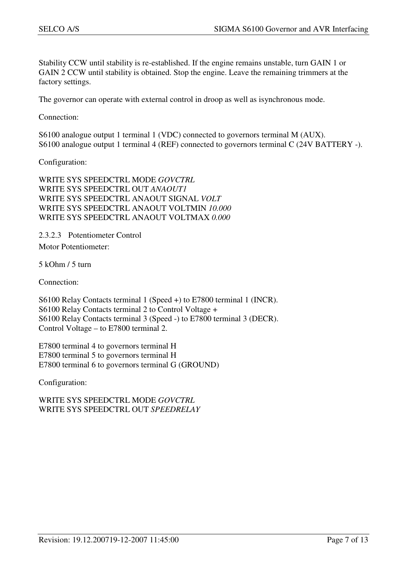Stability CCW until stability is re-established. If the engine remains unstable, turn GAIN 1 or GAIN 2 CCW until stability is obtained. Stop the engine. Leave the remaining trimmers at the factory settings.

The governor can operate with external control in droop as well as isynchronous mode.

Connection:

S6100 analogue output 1 terminal 1 (VDC) connected to governors terminal M (AUX). S6100 analogue output 1 terminal 4 (REF) connected to governors terminal C (24V BATTERY -).

Configuration:

WRITE SYS SPEEDCTRL MODE *GOVCTRL* WRITE SYS SPEEDCTRL OUT *ANAOUT1* WRITE SYS SPEEDCTRL ANAOUT SIGNAL *VOLT*  WRITE SYS SPEEDCTRL ANAOUT VOLTMIN *10.000* WRITE SYS SPEEDCTRL ANAOUT VOLTMAX *0.000* 

2.3.2.3 Potentiometer Control

Motor Potentiometer:

5 kOhm / 5 turn

Connection:

S6100 Relay Contacts terminal 1 (Speed +) to E7800 terminal 1 (INCR). S6100 Relay Contacts terminal 2 to Control Voltage + S6100 Relay Contacts terminal 3 (Speed -) to E7800 terminal 3 (DECR). Control Voltage – to E7800 terminal 2.

E7800 terminal 4 to governors terminal H E7800 terminal 5 to governors terminal H E7800 terminal 6 to governors terminal G (GROUND)

Configuration:

WRITE SYS SPEEDCTRL MODE *GOVCTRL*  WRITE SYS SPEEDCTRL OUT *SPEEDRELAY*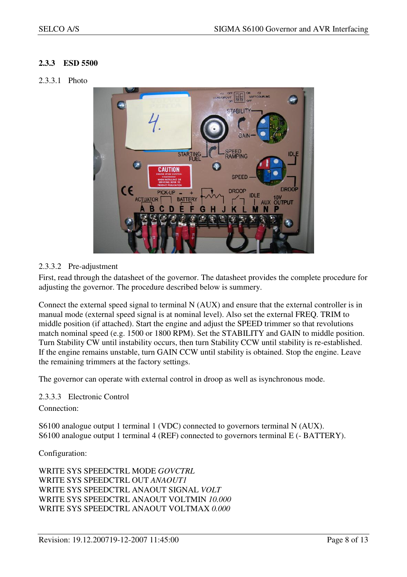## **2.3.3 ESD 5500**

#### 2.3.3.1 Photo



### 2.3.3.2 Pre-adjustment

First, read through the datasheet of the governor. The datasheet provides the complete procedure for adjusting the governor. The procedure described below is summery.

Connect the external speed signal to terminal N (AUX) and ensure that the external controller is in manual mode (external speed signal is at nominal level). Also set the external FREQ. TRIM to middle position (if attached). Start the engine and adjust the SPEED trimmer so that revolutions match nominal speed (e.g. 1500 or 1800 RPM). Set the STABILITY and GAIN to middle position. Turn Stability CW until instability occurs, then turn Stability CCW until stability is re-established. If the engine remains unstable, turn GAIN CCW until stability is obtained. Stop the engine. Leave the remaining trimmers at the factory settings.

The governor can operate with external control in droop as well as isynchronous mode.

#### 2.3.3.3 Electronic Control

Connection:

S6100 analogue output 1 terminal 1 (VDC) connected to governors terminal N (AUX). S6100 analogue output 1 terminal 4 (REF) connected to governors terminal E (- BATTERY).

Configuration:

WRITE SYS SPEEDCTRL MODE *GOVCTRL* WRITE SYS SPEEDCTRL OUT *ANAOUT1* WRITE SYS SPEEDCTRL ANAOUT SIGNAL *VOLT*  WRITE SYS SPEEDCTRL ANAOUT VOLTMIN *10.000* WRITE SYS SPEEDCTRL ANAOUT VOLTMAX *0.000*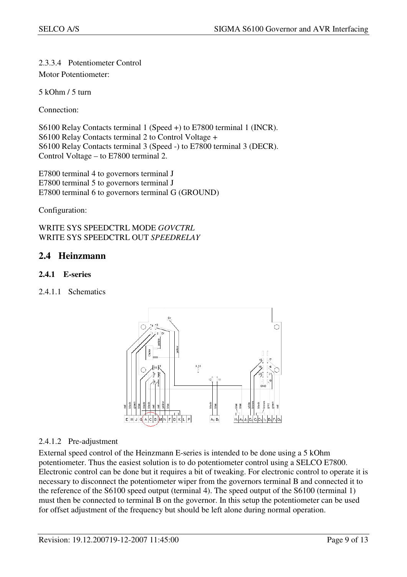## 2.3.3.4 Potentiometer Control

Motor Potentiometer:

5 kOhm / 5 turn

Connection:

S6100 Relay Contacts terminal 1 (Speed +) to E7800 terminal 1 (INCR). S6100 Relay Contacts terminal 2 to Control Voltage + S6100 Relay Contacts terminal 3 (Speed -) to E7800 terminal 3 (DECR). Control Voltage – to E7800 terminal 2.

E7800 terminal 4 to governors terminal J E7800 terminal 5 to governors terminal J E7800 terminal 6 to governors terminal G (GROUND)

Configuration:

WRITE SYS SPEEDCTRL MODE *GOVCTRL*  WRITE SYS SPEEDCTRL OUT *SPEEDRELAY*

## **2.4 Heinzmann**

## **2.4.1 E-series**

2.4.1.1 Schematics



## 2.4.1.2 Pre-adjustment

External speed control of the Heinzmann E-series is intended to be done using a 5 kOhm potentiometer. Thus the easiest solution is to do potentiometer control using a SELCO E7800. Electronic control can be done but it requires a bit of tweaking. For electronic control to operate it is necessary to disconnect the potentiometer wiper from the governors terminal B and connected it to the reference of the S6100 speed output (terminal 4). The speed output of the S6100 (terminal 1) must then be connected to terminal B on the governor. In this setup the potentiometer can be used for offset adjustment of the frequency but should be left alone during normal operation.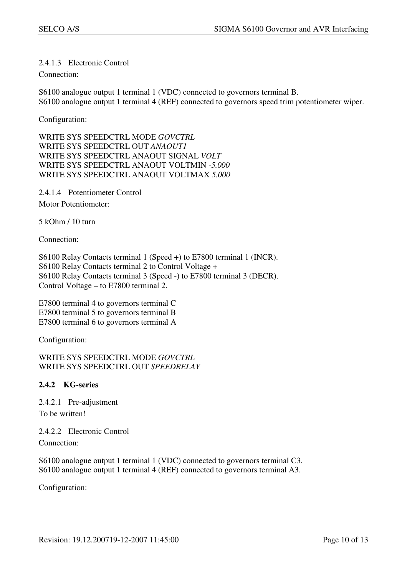### 2.4.1.3 Electronic Control

#### Connection:

S6100 analogue output 1 terminal 1 (VDC) connected to governors terminal B. S6100 analogue output 1 terminal 4 (REF) connected to governors speed trim potentiometer wiper.

Configuration:

WRITE SYS SPEEDCTRL MODE *GOVCTRL* WRITE SYS SPEEDCTRL OUT *ANAOUT1* WRITE SYS SPEEDCTRL ANAOUT SIGNAL *VOLT*  WRITE SYS SPEEDCTRL ANAOUT VOLTMIN *-5.000* WRITE SYS SPEEDCTRL ANAOUT VOLTMAX *5.000* 

2.4.1.4 Potentiometer Control Motor Potentiometer:

5 kOhm / 10 turn

Connection:

S6100 Relay Contacts terminal 1 (Speed +) to E7800 terminal 1 (INCR). S6100 Relay Contacts terminal 2 to Control Voltage + S6100 Relay Contacts terminal 3 (Speed -) to E7800 terminal 3 (DECR). Control Voltage – to E7800 terminal 2.

E7800 terminal 4 to governors terminal C E7800 terminal 5 to governors terminal B E7800 terminal 6 to governors terminal A

Configuration:

WRITE SYS SPEEDCTRL MODE *GOVCTRL*  WRITE SYS SPEEDCTRL OUT *SPEEDRELAY* 

## **2.4.2 KG-series**

2.4.2.1 Pre-adjustment To be written!

2.4.2.2 Electronic Control Connection:

S6100 analogue output 1 terminal 1 (VDC) connected to governors terminal C3. S6100 analogue output 1 terminal 4 (REF) connected to governors terminal A3.

Configuration: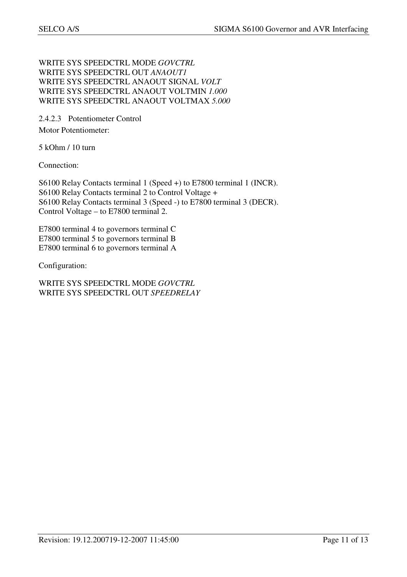### WRITE SYS SPEEDCTRL MODE *GOVCTRL* WRITE SYS SPEEDCTRL OUT *ANAOUT1* WRITE SYS SPEEDCTRL ANAOUT SIGNAL *VOLT*  WRITE SYS SPEEDCTRL ANAOUT VOLTMIN *1.000* WRITE SYS SPEEDCTRL ANAOUT VOLTMAX *5.000*

2.4.2.3 Potentiometer Control Motor Potentiometer:

5 kOhm / 10 turn

Connection:

S6100 Relay Contacts terminal 1 (Speed +) to E7800 terminal 1 (INCR). S6100 Relay Contacts terminal 2 to Control Voltage + S6100 Relay Contacts terminal 3 (Speed -) to E7800 terminal 3 (DECR). Control Voltage – to E7800 terminal 2.

E7800 terminal 4 to governors terminal C E7800 terminal 5 to governors terminal B E7800 terminal 6 to governors terminal A

Configuration:

WRITE SYS SPEEDCTRL MODE *GOVCTRL*  WRITE SYS SPEEDCTRL OUT *SPEEDRELAY*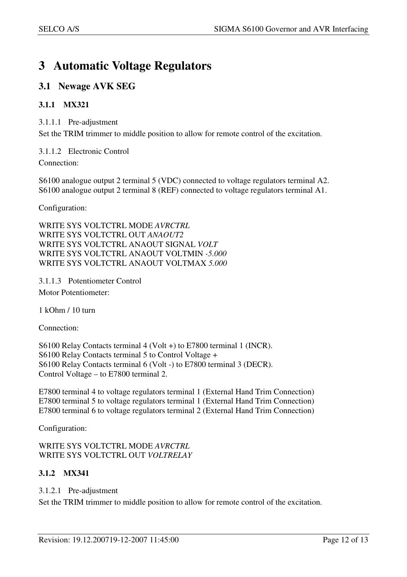## **3 Automatic Voltage Regulators**

## **3.1 Newage AVK SEG**

## **3.1.1 MX321**

3.1.1.1 Pre-adjustment

Set the TRIM trimmer to middle position to allow for remote control of the excitation.

3.1.1.2 Electronic Control

Connection:

S6100 analogue output 2 terminal 5 (VDC) connected to voltage regulators terminal A2. S6100 analogue output 2 terminal 8 (REF) connected to voltage regulators terminal A1.

Configuration:

WRITE SYS VOLTCTRL MODE *AVRCTRL*  WRITE SYS VOLTCTRL OUT *ANAOUT2* WRITE SYS VOLTCTRL ANAOUT SIGNAL *VOLT*  WRITE SYS VOLTCTRL ANAOUT VOLTMIN *-5.000* WRITE SYS VOLTCTRL ANAOUT VOLTMAX *5.000*

### 3.1.1.3 Potentiometer Control Motor Potentiometer:

1 kOhm / 10 turn

Connection:

S6100 Relay Contacts terminal 4 (Volt +) to E7800 terminal 1 (INCR). S6100 Relay Contacts terminal 5 to Control Voltage + S6100 Relay Contacts terminal 6 (Volt -) to E7800 terminal 3 (DECR). Control Voltage – to E7800 terminal 2.

E7800 terminal 4 to voltage regulators terminal 1 (External Hand Trim Connection) E7800 terminal 5 to voltage regulators terminal 1 (External Hand Trim Connection) E7800 terminal 6 to voltage regulators terminal 2 (External Hand Trim Connection)

Configuration:

WRITE SYS VOLTCTRL MODE *AVRCTRL*  WRITE SYS VOLTCTRL OUT *VOLTRELAY* 

## **3.1.2 MX341**

## 3.1.2.1 Pre-adjustment

Set the TRIM trimmer to middle position to allow for remote control of the excitation.